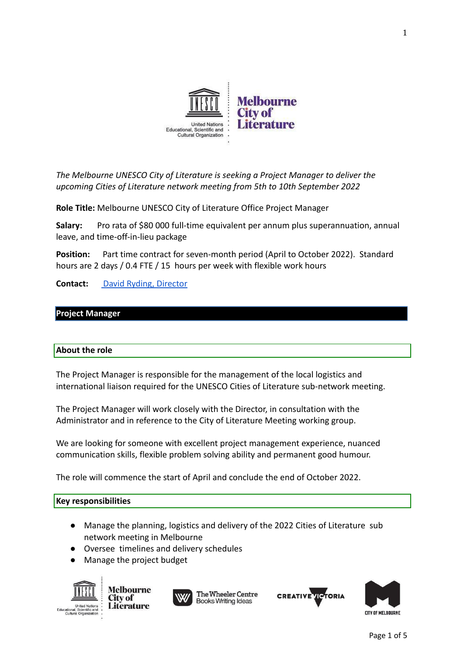

*The Melbourne UNESCO City of Literature is seeking a Project Manager to deliver the upcoming Cities of Literature network meeting from 5th to 10th September 2022*

**Role Title:** Melbourne UNESCO City of Literature Office Project Manager

**Salary:** Pro rata of \$80 000 full-time equivalent per annum plus superannuation, annual leave, and time-off-in-lieu package

**Position:** Part time contract for seven-month period (April to October 2022). Standard hours are 2 days / 0.4 FTE / 15 hours per week with flexible work hours

**Contact:** [David Ryding, Director](mailto:cityofliterature@wheelercentre.com)

#### **Project Manager**

#### **About the role**

The Project Manager is responsible for the management of the local logistics and international liaison required for the UNESCO Cities of Literature sub-network meeting.

The Project Manager will work closely with the Director, in consultation with the Administrator and in reference to the City of Literature Meeting working group.

We are looking for someone with excellent project management experience, nuanced communication skills, flexible problem solving ability and permanent good humour.

The role will commence the start of April and conclude the end of October 2022.

#### **Key responsibilities**

- Manage the planning, logistics and delivery of the 2022 Cities of Literature sub network meeting in Melbourne
- Oversee timelines and delivery schedules
- Manage the project budget



**Melbourne** City of **Literature** 





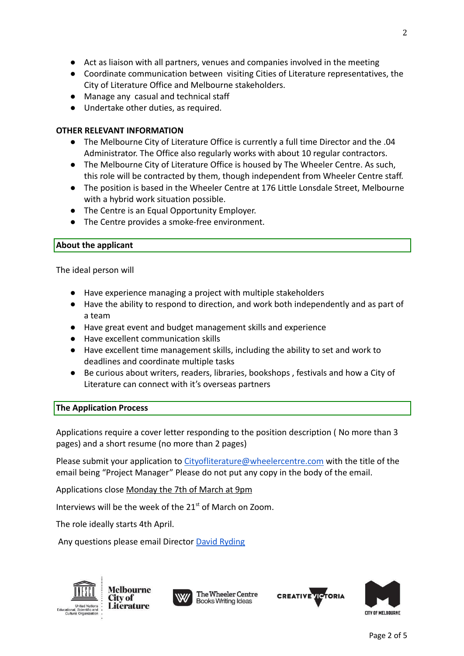- Act as liaison with all partners, venues and companies involved in the meeting
- Coordinate communication between visiting Cities of Literature representatives, the City of Literature Office and Melbourne stakeholders.
- Manage any casual and technical staff
- Undertake other duties, as required.

#### **OTHER RELEVANT INFORMATION**

- The Melbourne City of Literature Office is currently a full time Director and the .04 Administrator. The Office also regularly works with about 10 regular contractors.
- The Melbourne City of Literature Office is housed by The Wheeler Centre. As such, this role will be contracted by them, though independent from Wheeler Centre staff.
- The position is based in the Wheeler Centre at 176 Little Lonsdale Street, Melbourne with a hybrid work situation possible.
- The Centre is an Equal Opportunity Employer.
- The Centre provides a smoke-free environment.

#### **About the applicant**

The ideal person will

- Have experience managing a project with multiple stakeholders
- Have the ability to respond to direction, and work both independently and as part of a team
- Have great event and budget management skills and experience
- Have excellent communication skills
- Have excellent time management skills, including the ability to set and work to deadlines and coordinate multiple tasks
- Be curious about writers, readers, libraries, bookshops , festivals and how a City of Literature can connect with it's overseas partners

# **The Application Process**

Applications require a cover letter responding to the position description ( No more than 3 pages) and a short resume (no more than 2 pages)

Please submit your application to [Cityofliterature@wheelercentre.com](mailto:Cityofliteratrue@wheelercentre.com) with the title of the email being "Project Manager" Please do not put any copy in the body of the email.

Applications close Monday the 7th of March at 9pm

Interviews will be the week of the  $21<sup>st</sup>$  of March on Zoom.

The role ideally starts 4th April.

Any questions please email Director [David Ryding](mailto:cityofliterature@wheelercentre.com)



**Melbourne City of Literature** 





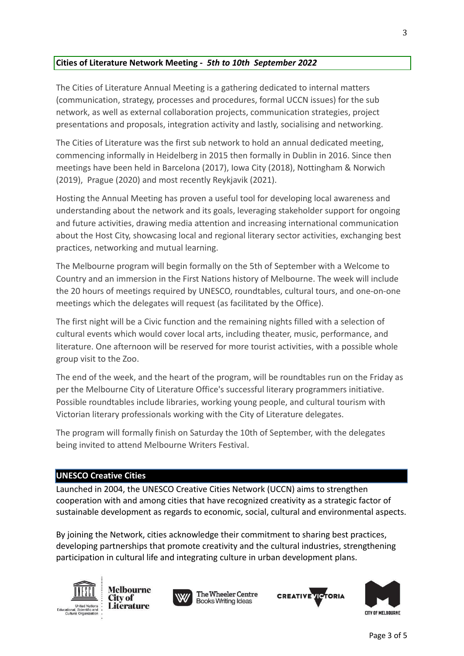# **Cities of Literature Network Meeting -** *5th to 10th September 2022*

The Cities of Literature Annual Meeting is a gathering dedicated to internal matters (communication, strategy, processes and procedures, formal UCCN issues) for the sub network, as well as external collaboration projects, communication strategies, project presentations and proposals, integration activity and lastly, socialising and networking.

The Cities of Literature was the first sub network to hold an annual dedicated meeting, commencing informally in Heidelberg in 2015 then formally in Dublin in 2016. Since then meetings have been held in Barcelona (2017), Iowa City (2018), Nottingham & Norwich (2019), Prague (2020) and most recently Reykjavik (2021).

Hosting the Annual Meeting has proven a useful tool for developing local awareness and understanding about the network and its goals, leveraging stakeholder support for ongoing and future activities, drawing media attention and increasing international communication about the Host City, showcasing local and regional literary sector activities, exchanging best practices, networking and mutual learning.

The Melbourne program will begin formally on the 5th of September with a Welcome to Country and an immersion in the First Nations history of Melbourne. The week will include the 20 hours of meetings required by UNESCO, roundtables, cultural tours, and one-on-one meetings which the delegates will request (as facilitated by the Office).

The first night will be a Civic function and the remaining nights filled with a selection of cultural events which would cover local arts, including theater, music, performance, and literature. One afternoon will be reserved for more tourist activities, with a possible whole group visit to the Zoo.

The end of the week, and the heart of the program, will be roundtables run on the Friday as per the Melbourne City of Literature Office's successful literary programmers initiative. Possible roundtables include libraries, working young people, and cultural tourism with Victorian literary professionals working with the City of Literature delegates.

The program will formally finish on Saturday the 10th of September, with the delegates being invited to attend Melbourne Writers Festival.

# **UNESCO Creative Cities**

Launched in 2004, the UNESCO Creative Cities Network (UCCN) aims to strengthen cooperation with and among cities that have recognized creativity as a strategic factor of sustainable development as regards to economic, social, cultural and environmental aspects.

By joining the Network, cities acknowledge their commitment to sharing best practices, developing partnerships that promote creativity and the cultural industries, strengthening participation in cultural life and integrating culture in urban development plans.



**Melbourne** City of **Literature** 





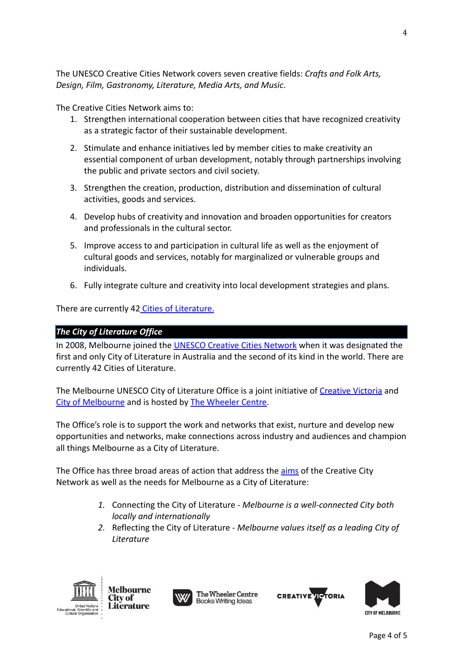The UNESCO Creative Cities Network covers seven creative fields: *Crafts and Folk Arts, Design, Film, Gastronomy, Literature, Media Arts, and Music*.

The Creative Cities Network aims to:

- 1. Strengthen international cooperation between cities that have recognized creativity as a strategic factor of their sustainable development.
- 2. Stimulate and enhance initiatives led by member cities to make creativity an essential component of urban development, notably through partnerships involving the public and private sectors and civil society.
- 3. Strengthen the creation, production, distribution and dissemination of cultural activities, goods and services.
- 4. Develop hubs of creativity and innovation and broaden opportunities for creators and professionals in the cultural sector.
- 5. Improve access to and participation in cultural life as well as the enjoyment of cultural goods and services, notably for marginalized or vulnerable groups and individuals.
- 6. Fully integrate culture and creativity into local development strategies and plans.

There are currently 42 [Cities of Literature.](https://en.wikipedia.org/wiki/City_of_Literature)

# *The City of Literature Office*

In 2008, Melbourne joined the [UNESCO Creative Cities](http://en.unesco.org/creative-cities/home) Network when it was designated the first and only City of Literature in Australia and the second of its kind in the world. There are currently 42 Cities of Literature.

The Melbourne UNESCO City of Literature Office is a joint initiative of [Creative Victoria](http://creative.vic.gov.au/) and [City of Melbourne](http://www.melbourne.vic.gov.au/Pages/home.aspx) and is hosted by [The Wheeler Centre.](http://www.wheelercentre.com/)

The Office's role is to support the work and networks that exist, nurture and develop new opportunities and networks, make connections across industry and audiences and champion all things Melbourne as a City of Literature.

The Office has three broad areas of action that address the [aims](https://en.unesco.org/creative-cities/sites/creative-cities/files/Mission_Statement_UNESCO_Creative_Cities_Network.pdf) of the Creative City Network as well as the needs for Melbourne as a City of Literature:

- *1.* Connecting the City of Literature *Melbourne is a well-connected City both locally and internationally*
- *2.* Reflecting the City of Literature *Melbourne values itself as a leading City of Literature*



**Melbourne** City of **Literature**